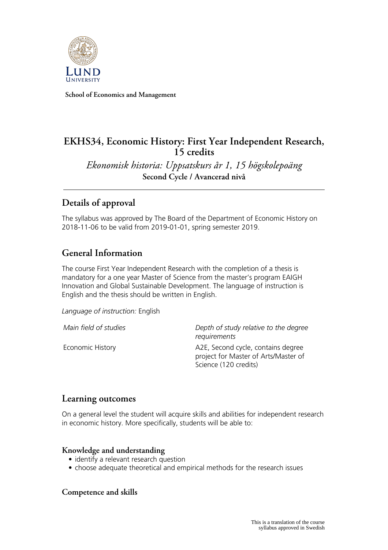

**School of Economics and Management**

# **EKHS34, Economic History: First Year Independent Research, 15 credits**

*Ekonomisk historia: Uppsatskurs år 1, 15 högskolepoäng* **Second Cycle / Avancerad nivå**

# **Details of approval**

The syllabus was approved by The Board of the Department of Economic History on 2018-11-06 to be valid from 2019-01-01, spring semester 2019.

# **General Information**

The course First Year Independent Research with the completion of a thesis is mandatory for a one year Master of Science from the master's program EAIGH Innovation and Global Sustainable Development. The language of instruction is English and the thesis should be written in English.

*Language of instruction:* English

*Main field of studies Depth of study relative to the degree requirements*

Economic History **A2E, Second cycle, contains degree** project for Master of Arts/Master of Science (120 credits)

## **Learning outcomes**

On a general level the student will acquire skills and abilities for independent research in economic history. More specifically, students will be able to:

### **Knowledge and understanding**

- identify a relevant research question
- choose adequate theoretical and empirical methods for the research issues

### **Competence and skills**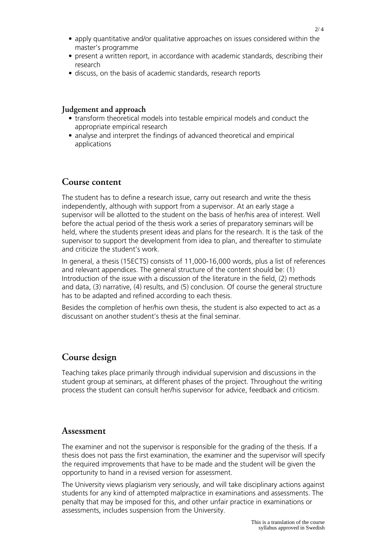- apply quantitative and/or qualitative approaches on issues considered within the master's programme
- present a written report, in accordance with academic standards, describing their research
- discuss, on the basis of academic standards, research reports

#### **Judgement and approach**

- transform theoretical models into testable empirical models and conduct the appropriate empirical research
- analyse and interpret the findings of advanced theoretical and empirical applications

### **Course content**

The student has to define a research issue, carry out research and write the thesis independently, although with support from a supervisor. At an early stage a supervisor will be allotted to the student on the basis of her/his area of interest. Well before the actual period of the thesis work a series of preparatory seminars will be held, where the students present ideas and plans for the research. It is the task of the supervisor to support the development from idea to plan, and thereafter to stimulate and criticize the student's work.

In general, a thesis (15ECTS) consists of 11,000-16,000 words, plus a list of references and relevant appendices. The general structure of the content should be: (1) Introduction of the issue with a discussion of the literature in the field, (2) methods and data, (3) narrative, (4) results, and (5) conclusion. Of course the general structure has to be adapted and refined according to each thesis.

Besides the completion of her/his own thesis, the student is also expected to act as a discussant on another student's thesis at the final seminar.

## **Course design**

Teaching takes place primarily through individual supervision and discussions in the student group at seminars, at different phases of the project. Throughout the writing process the student can consult her/his supervisor for advice, feedback and criticism.

#### **Assessment**

The examiner and not the supervisor is responsible for the grading of the thesis. If a thesis does not pass the first examination, the examiner and the supervisor will specify the required improvements that have to be made and the student will be given the opportunity to hand in a revised version for assessment.

The University views plagiarism very seriously, and will take disciplinary actions against students for any kind of attempted malpractice in examinations and assessments. The penalty that may be imposed for this, and other unfair practice in examinations or assessments, includes suspension from the University.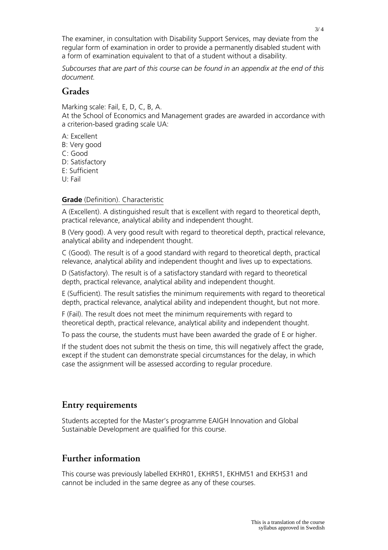The examiner, in consultation with Disability Support Services, may deviate from the regular form of examination in order to provide a permanently disabled student with a form of examination equivalent to that of a student without a disability.

*Subcourses that are part of this course can be found in an appendix at the end of this document.*

### **Grades**

Marking scale: Fail, E, D, C, B, A.

At the School of Economics and Management grades are awarded in accordance with a criterion-based grading scale UA:

- A: Excellent
- B: Very good
- C: Good
- D: Satisfactory
- E: Sufficient
- U: Fail

#### **Grade** (Definition). Characteristic

A (Excellent). A distinguished result that is excellent with regard to theoretical depth, practical relevance, analytical ability and independent thought.

B (Very good). A very good result with regard to theoretical depth, practical relevance, analytical ability and independent thought.

C (Good). The result is of a good standard with regard to theoretical depth, practical relevance, analytical ability and independent thought and lives up to expectations.

D (Satisfactory). The result is of a satisfactory standard with regard to theoretical depth, practical relevance, analytical ability and independent thought.

E (Sufficient). The result satisfies the minimum requirements with regard to theoretical depth, practical relevance, analytical ability and independent thought, but not more.

F (Fail). The result does not meet the minimum requirements with regard to theoretical depth, practical relevance, analytical ability and independent thought.

To pass the course, the students must have been awarded the grade of E or higher.

If the student does not submit the thesis on time, this will negatively affect the grade, except if the student can demonstrate special circumstances for the delay, in which case the assignment will be assessed according to regular procedure.

## **Entry requirements**

Students accepted for the Master's programme EAIGH Innovation and Global Sustainable Development are qualified for this course.

## **Further information**

This course was previously labelled EKHR01, EKHR51, EKHM51 and EKHS31 and cannot be included in the same degree as any of these courses.